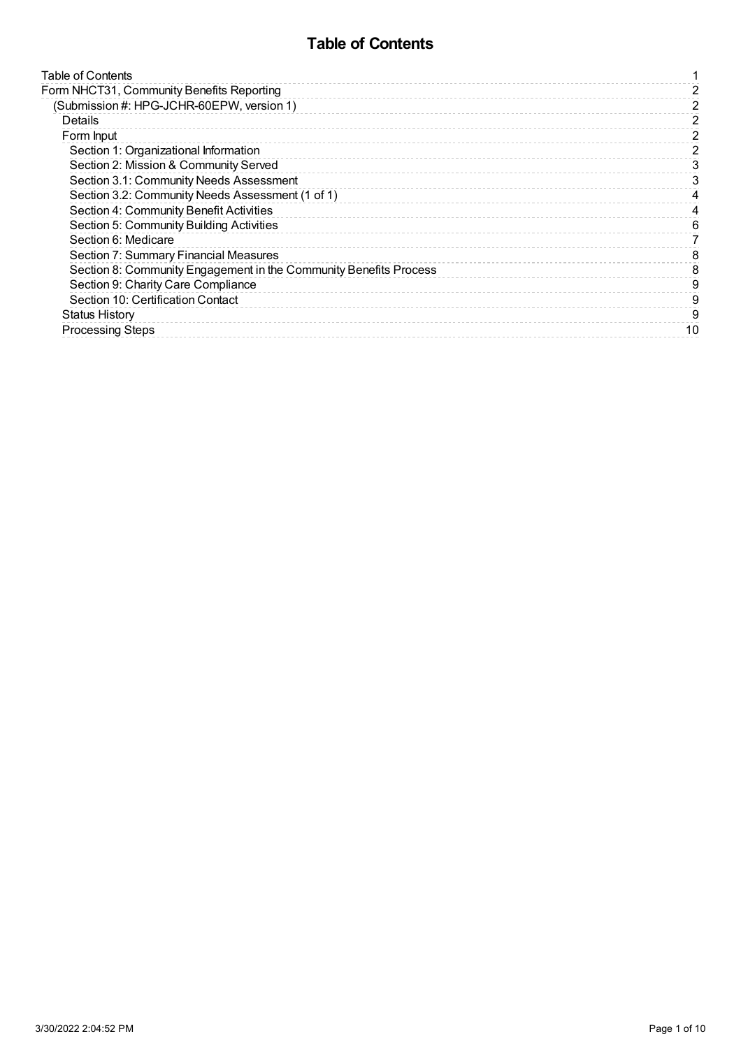## **Table of Contents**

<span id="page-0-0"></span>

| Table of Contents                                                 |    |
|-------------------------------------------------------------------|----|
| Form NHCT31, Community Benefits Reporting                         | 2  |
| (Submission #: HPG-JCHR-60EPW, version 1)                         | 2  |
| Details                                                           | 2  |
| Form Input                                                        | 2  |
| Section 1: Organizational Information                             | 2  |
| Section 2: Mission & Community Served                             | 3  |
| Section 3.1: Community Needs Assessment                           | 3  |
| Section 3.2: Community Needs Assessment (1 of 1)                  |    |
| Section 4: Community Benefit Activities                           |    |
| Section 5: Community Building Activities                          | 6  |
| Section 6: Medicare                                               |    |
| Section 7: Summary Financial Measures                             | 8  |
| Section 8: Community Engagement in the Community Benefits Process | 8  |
| Section 9: Charity Care Compliance                                | 9  |
| Section 10: Certification Contact                                 | 9  |
| <b>Status History</b>                                             | 9  |
| <b>Processing Steps</b>                                           | 10 |
|                                                                   |    |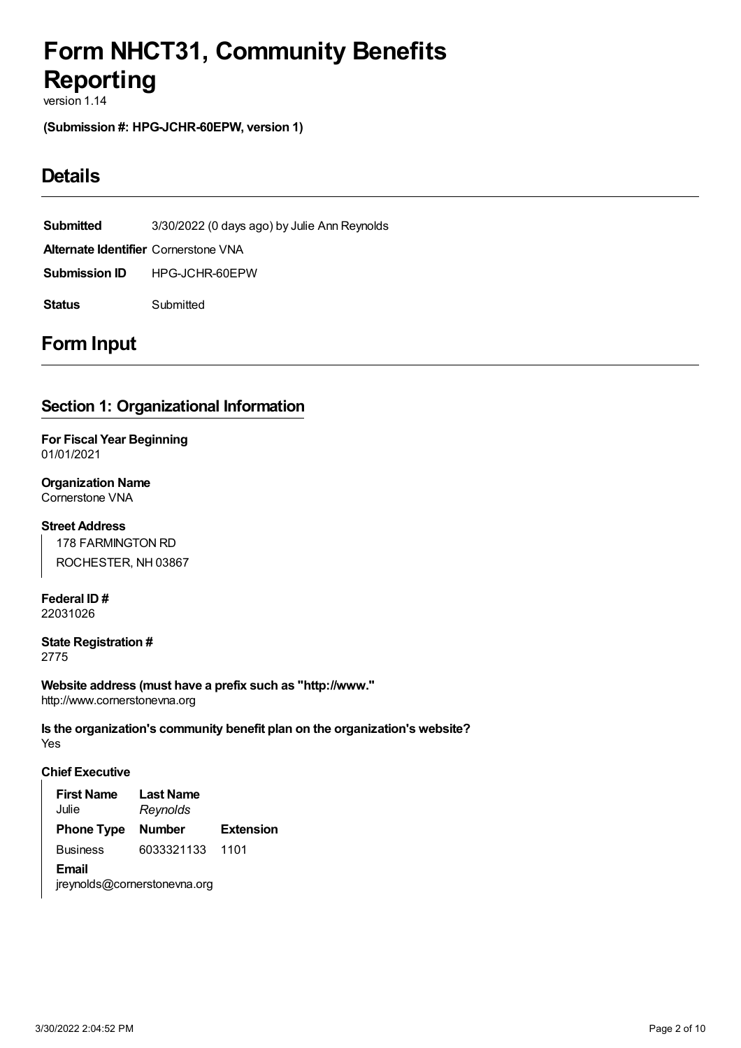# <span id="page-1-0"></span>**Form NHCT31, Community Benefits Reporting**

version 1.14

<span id="page-1-1"></span>**(Submission #: HPG-JCHR-60EPW, version 1)**

## <span id="page-1-2"></span>**Details**

**Submitted** 3/30/2022 (0 days ago) by Julie Ann Reynolds **Alternate Identifier** Cornerstone VNA **Submission ID** HPG-JCHR-60EPW **Status** Submitted

## <span id="page-1-3"></span>**Form Input**

## <span id="page-1-4"></span>**Section 1: Organizational Information**

**For Fiscal Year Beginning** 01/01/2021

**Organization Name** Cornerstone VNA

**Street Address**

178 FARMINGTON RD ROCHESTER, NH 03867

**Federal ID #** 22031026

**State Registration #** 2775

**Website address (must have a prefix such as "http://www."** http://www.cornerstonevna.org

Yes **Is the organization's community benefit plan on the organization's website?**

#### **Chief Executive**

| <b>First Name</b><br>Julie | <b>Last Name</b><br>Reynolds |                  |  |  |  |  |  |  |  |
|----------------------------|------------------------------|------------------|--|--|--|--|--|--|--|
| <b>Phone Type</b>          | <b>Number</b>                | <b>Extension</b> |  |  |  |  |  |  |  |
| <b>Business</b>            | 6033321133                   | 1101             |  |  |  |  |  |  |  |
| Email                      |                              |                  |  |  |  |  |  |  |  |
|                            | jreynolds@cornerstonevna.org |                  |  |  |  |  |  |  |  |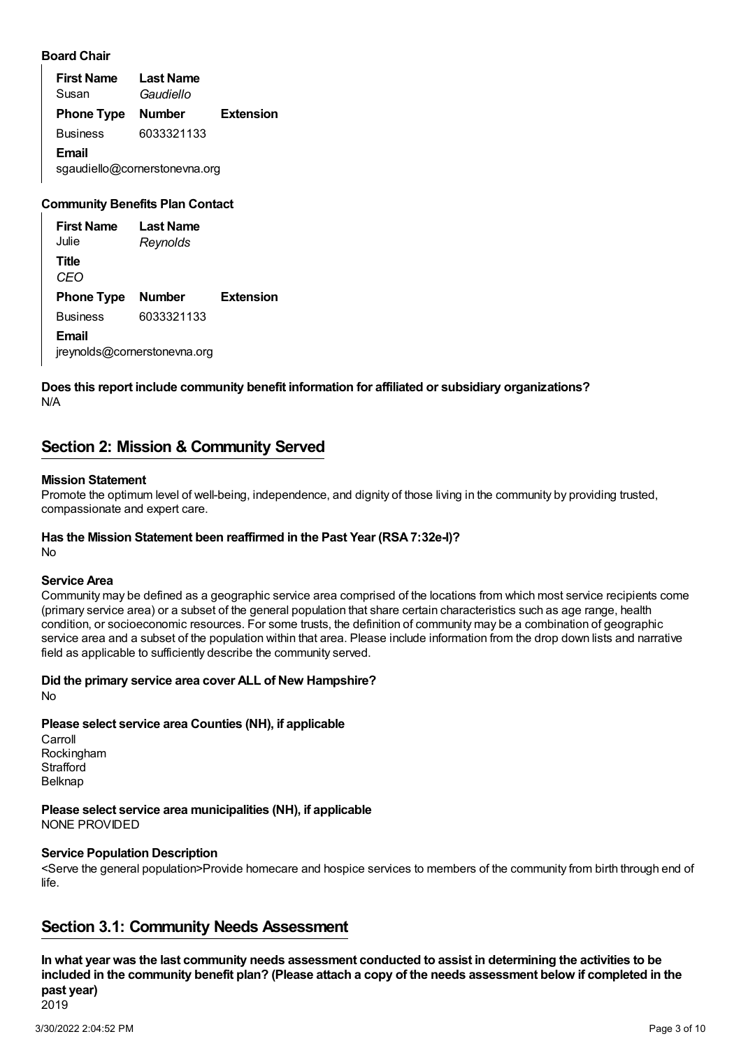#### **Board Chair**

**First Name** Susan **Last Name** *Gaudiello* **Phone Type Number Extension** Business 6033321133 **Email** sgaudiello@cornerstonevna.org

#### **Community Benefits Plan Contact**

| <b>First Name</b><br>Julie | Last Name<br>Reynolds |                  |
|----------------------------|-----------------------|------------------|
| Title<br>CFO               |                       |                  |
| <b>Phone Type Number</b>   |                       | <b>Extension</b> |
| <b>Business</b>            | 6033321133            |                  |
| Fmail                      |                       |                  |

jreynolds@cornerstonevna.org

#### N/A **Does this report include community benefit information for affiliated or subsidiary organizations?**

## <span id="page-2-0"></span>**Section 2: Mission & Community Served**

#### **Mission Statement**

Promote the optimum level of well-being, independence, and dignity of those living in the community by providing trusted, compassionate and expert care.

## **Has the Mission Statement been reaffirmed in the Past Year (RSA7:32e-I)?**

No

#### **Service Area**

Community may be defined as a geographic service area comprised of the locations from which most service recipients come (primary service area) or a subset of the general population that share certain characteristics such as age range, health condition, or socioeconomic resources. For some trusts, the definition of community may be a combination of geographic service area and a subset of the population within that area. Please include information from the drop down lists and narrative field as applicable to sufficiently describe the community served.

#### **Did the primary service area cover ALL of New Hampshire?**

No

## **Please select service area Counties (NH), if applicable**

Carroll Rockingham **Strafford** Belknap

NONE PROVIDED **Please select service area municipalities (NH), if applicable**

## **Service Population Description**

<Serve the general population>Provide homecare and hospice services to members of the community from birth through end of  $l$ ife.

## <span id="page-2-1"></span>**Section 3.1: Community Needs Assessment**

2019 In what year was the last community needs assessment conducted to assist in determining the activities to be included in the community benefit plan? (Please attach a copy of the needs assessment below if completed in the **past year)**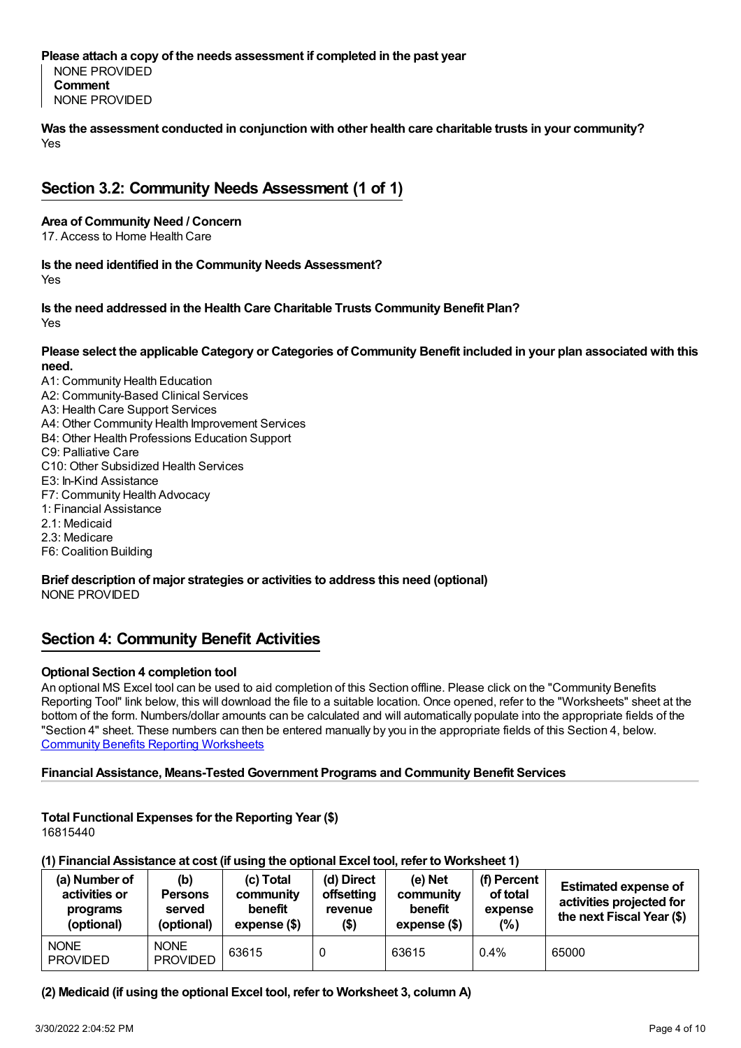#### **Please attach a copy of the needs assessment if completed in the past year**

NONE PROVIDED **Comment** NONE PROVIDED

Yes **Was the assessment conducted in conjunction with other health care charitable trusts in your community?**

## <span id="page-3-0"></span>**Section 3.2: Community Needs Assessment (1 of 1)**

#### **Area of Community Need / Concern**

17. Access to Home Health Care

Yes **Is the need identified in the Community Needs Assessment?**

Yes **Is the need addressed in the Health Care Charitable Trusts Community Benefit Plan?**

#### Please select the applicable Category or Categories of Community Benefit included in your plan associated with this **need.**

A1: Community Health Education A2: Community-Based Clinical Services A3: Health Care Support Services A4: Other Community Health Improvement Services B4: Other Health Professions Education Support C9: Palliative Care C10: Other Subsidized Health Services E3: In-Kind Assistance F7: Community Health Advocacy 1: Financial Assistance 2.1: Medicaid 2.3: Medicare F6: Coalition Building

#### **Brief description of major strategies or activities to address this need (optional)** NONE PROVIDED

## <span id="page-3-1"></span>**Section 4: Community Benefit Activities**

#### **Optional Section 4 completion tool**

An optional MS Excel tool can be used to aid completion of this Section offline. Please click on the "Community Benefits Reporting Tool" link below, this will download the file to a suitable location. Once opened, refer to the "Worksheets" sheet at the bottom of the form. Numbers/dollar amounts can be calculated and will automatically populate into the appropriate fields of the "Section 4" sheet. These numbers can then be entered manually by you in the appropriate fields of this Section 4, below. Community Benefits Reporting [Worksheets](https://www.doj.nh.gov/charitable-trusts/documents/community-benefits-reporting-worksheets.xlsx)

#### **Financial Assistance, Means-Tested Government Programs and Community Benefit Services**

#### **Total Functional Expenses for the Reporting Year (\$)** 16815440

#### **(1) Financial Assistance at cost (if using the optional Excel tool, refer to Worksheet 1)**

| (a) Number of<br>activities or<br>programs<br>(optional) | (b)<br><b>Persons</b><br>served<br>(optional) | (c) Total<br>community<br>benefit<br>expense (\$) | (d) Direct<br>offsetting<br>revenue<br>\$) | (e) Net<br>community<br>benefit<br>$expense$ (\$) | (f) Percent<br>of total<br>expense<br>(% ) | <b>Estimated expense of</b><br>activities projected for<br>the next Fiscal Year (\$) |
|----------------------------------------------------------|-----------------------------------------------|---------------------------------------------------|--------------------------------------------|---------------------------------------------------|--------------------------------------------|--------------------------------------------------------------------------------------|
| <b>NONE</b><br><b>PROVIDED</b>                           | <b>NONE</b><br><b>PROVIDED</b>                | 63615                                             |                                            | 63615                                             | $0.4\%$                                    | 65000                                                                                |

#### **(2) Medicaid (if using the optional Excel tool, refer to Worksheet 3, column A)**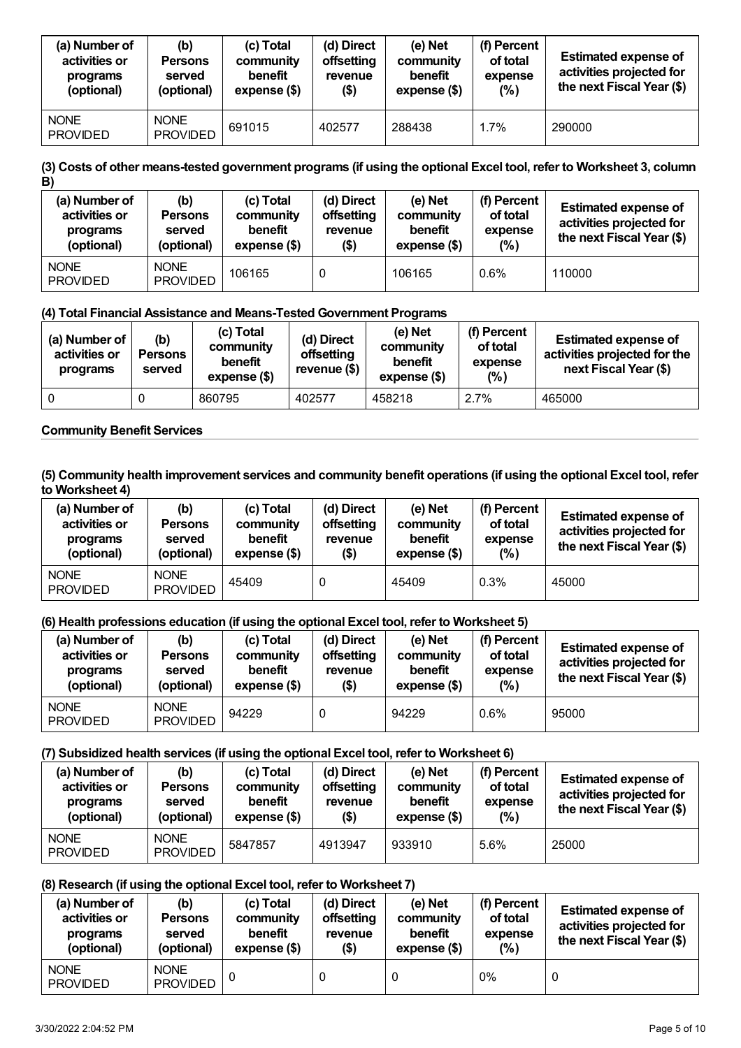| (a) Number of<br>activities or<br>programs<br>(optional) | (b)<br><b>Persons</b><br>served<br>(optional) | (c) Total<br>community<br>benefit<br>expense (\$) | (d) Direct<br>offsetting<br>revenue<br>\$) | $(e)$ Net<br>community<br>benefit<br>expense (\$) | (f) Percent<br>of total<br>expense<br>(% ) | <b>Estimated expense of</b><br>activities projected for<br>the next Fiscal Year (\$) |
|----------------------------------------------------------|-----------------------------------------------|---------------------------------------------------|--------------------------------------------|---------------------------------------------------|--------------------------------------------|--------------------------------------------------------------------------------------|
| <b>NONE</b><br><b>PROVIDED</b>                           | <b>NONE</b><br><b>PROVIDED</b>                | 691015                                            | 402577                                     | 288438                                            | 1.7%                                       | 290000                                                                               |

#### (3) Costs of other means-tested government programs (if using the optional Excel tool, refer to Worksheet 3, column **B)**

| (a) Number of<br>activities or<br>programs<br>(optional) | (b)<br><b>Persons</b><br>served<br>(optional) | (c) Total<br>community<br>benefit<br>expense (\$) | (d) Direct<br>offsetting<br>revenue<br>(\$) | $(e)$ Net<br>community<br>benefit<br>expense (\$) | (f) Percent<br>of total<br>expense<br>(% ) | <b>Estimated expense of</b><br>activities projected for<br>the next Fiscal Year (\$) |
|----------------------------------------------------------|-----------------------------------------------|---------------------------------------------------|---------------------------------------------|---------------------------------------------------|--------------------------------------------|--------------------------------------------------------------------------------------|
| <b>NONE</b><br><b>PROVIDED</b>                           | <b>NONE</b><br><b>PROVIDED</b>                | 106165                                            |                                             | 106165                                            | 0.6%                                       | 110000                                                                               |

#### **(4) Total Financial Assistance and Means-Tested Government Programs**

| (a) Number of $ $<br>activities or<br>programs | (b)<br><b>Persons</b><br>served | (c) Total<br>community<br>benefit<br>expense (\$) | (d) Direct<br>offsetting<br>revenue (\$) | (e) Net<br>community<br>benefit<br>expense (\$) | (f) Percent<br>of total<br>expense<br>$(\%)$ | <b>Estimated expense of</b><br>activities projected for the<br>next Fiscal Year (\$) |
|------------------------------------------------|---------------------------------|---------------------------------------------------|------------------------------------------|-------------------------------------------------|----------------------------------------------|--------------------------------------------------------------------------------------|
|                                                |                                 | 860795                                            | 402577                                   | 458218                                          | 2.7%                                         | 465000                                                                               |

#### **Community Benefit Services**

#### (5) Community health improvement services and community benefit operations (if using the optional Excel tool, refer **to Worksheet 4)**

| (a) Number of<br>activities or<br>programs<br>(optional) | (b)<br><b>Persons</b><br>served<br>(optional) | (c) Total<br>community<br>benefit<br>expense (\$) | (d) Direct<br>offsetting<br>revenue<br>$($ \$) | $(e)$ Net<br>community<br>benefit<br>expense (\$) | (f) Percent<br>of total<br>expense<br>$(\%)$ | <b>Estimated expense of</b><br>activities projected for<br>the next Fiscal Year (\$) |
|----------------------------------------------------------|-----------------------------------------------|---------------------------------------------------|------------------------------------------------|---------------------------------------------------|----------------------------------------------|--------------------------------------------------------------------------------------|
| <b>NONE</b><br><b>PROVIDED</b>                           | <b>NONE</b><br><b>PROVIDED</b>                | 45409                                             |                                                | 45409                                             | 0.3%                                         | 45000                                                                                |

#### **(6) Health professions education (if using the optional Excel tool, refer to Worksheet 5)**

| (a) Number of<br>activities or<br>programs<br>(optional) | (b)<br><b>Persons</b><br>served<br>(optional) | (c) Total<br>community<br>benefit<br>expense (\$) | (d) Direct<br>offsetting<br>revenue<br>$($ \$) | (e) Net<br>community<br>benefit<br>expense (\$) | (f) Percent<br>of total<br>expense<br>(% ) | <b>Estimated expense of</b><br>activities projected for<br>the next Fiscal Year (\$) |
|----------------------------------------------------------|-----------------------------------------------|---------------------------------------------------|------------------------------------------------|-------------------------------------------------|--------------------------------------------|--------------------------------------------------------------------------------------|
| <b>NONE</b><br><b>PROVIDED</b>                           | <b>NONE</b><br><b>PROVIDED</b>                | 94229                                             |                                                | 94229                                           | 0.6%                                       | 95000                                                                                |

#### **(7) Subsidized health services (if using the optional Excel tool, refer to Worksheet 6)**

| (a) Number of<br>activities or<br>programs<br>(optional) | (b)<br><b>Persons</b><br>served<br>(optional) | (c) Total<br>community<br>benefit<br>expense (\$) | (d) Direct<br>offsetting<br>revenue<br>$($ \$) | (e) Net<br>community<br>benefit<br>expense (\$) | (f) Percent<br>of total<br>expense<br>(%) | <b>Estimated expense of</b><br>activities projected for<br>the next Fiscal Year (\$) |
|----------------------------------------------------------|-----------------------------------------------|---------------------------------------------------|------------------------------------------------|-------------------------------------------------|-------------------------------------------|--------------------------------------------------------------------------------------|
| <b>NONE</b><br><b>PROVIDED</b>                           | <b>NONE</b><br><b>PROVIDED</b>                | 5847857                                           | 4913947                                        | 933910                                          | 5.6%                                      | 25000                                                                                |

#### **(8) Research (if using the optional Excel tool, refer to Worksheet 7)**

| (a) Number of<br>activities or<br>programs<br>(optional) | (b)<br><b>Persons</b><br>served<br>(optional) | (c) Total<br>community<br>benefit<br>expense (\$) | (d) Direct<br>offsetting<br>revenue<br>$($ \$) | (e) Net<br>community<br>benefit<br>expense (\$) | (f) Percent<br>of total<br>expense<br>(% ) | <b>Estimated expense of</b><br>activities projected for<br>the next Fiscal Year (\$) |
|----------------------------------------------------------|-----------------------------------------------|---------------------------------------------------|------------------------------------------------|-------------------------------------------------|--------------------------------------------|--------------------------------------------------------------------------------------|
| <b>NONE</b><br><b>PROVIDED</b>                           | <b>NONE</b><br><b>PROVIDED</b>                |                                                   |                                                |                                                 | $0\%$                                      | 0                                                                                    |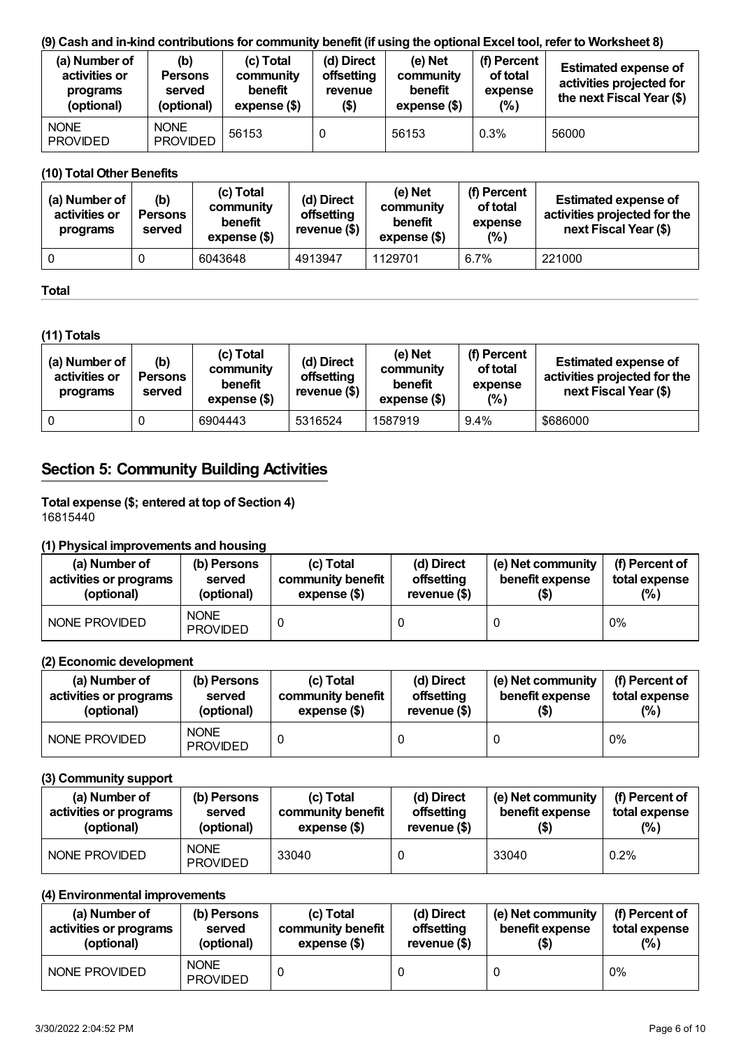#### (9) Cash and in-kind contributions for community benefit (if using the optional Excel tool, refer to Worksheet 8)

| (a) Number of<br>activities or<br>programs<br>(optional) | (b)<br><b>Persons</b><br>served<br>(optional) | (c) Total<br>community<br>benefit<br>expense (\$) | (d) Direct<br>offsetting<br>revenue<br>(\$) | $(e)$ Net<br>community<br>benefit<br>expense (\$) | (f) Percent<br>of total<br>expense<br>(% ) | <b>Estimated expense of</b><br>activities projected for<br>the next Fiscal Year (\$) |
|----------------------------------------------------------|-----------------------------------------------|---------------------------------------------------|---------------------------------------------|---------------------------------------------------|--------------------------------------------|--------------------------------------------------------------------------------------|
| <b>NONE</b><br><b>PROVIDED</b>                           | <b>NONE</b><br><b>PROVIDED</b>                | 56153                                             |                                             | 56153                                             | 0.3%                                       | 56000                                                                                |

#### **(10) Total Other Benefits**

| (a) Number of<br>activities or<br>programs | (b)<br><b>Persons</b><br>served | (c) Total<br>community<br>benefit<br>expense (\$) | (d) Direct<br>offsetting<br>revenue (\$) | (e) Net<br>community<br>benefit<br>$expense$ $($)$ | (f) Percent<br>of total<br>expense<br>$(\%)$ | <b>Estimated expense of</b><br>activities projected for the<br>next Fiscal Year (\$) |
|--------------------------------------------|---------------------------------|---------------------------------------------------|------------------------------------------|----------------------------------------------------|----------------------------------------------|--------------------------------------------------------------------------------------|
|                                            |                                 | 6043648                                           | 4913947                                  | 1129701                                            | 6.7%                                         | 221000                                                                               |

#### **Total**

#### **(11) Totals**

| (a) Number of<br>activities or<br>programs | (b)<br><b>Persons</b><br>served | (c) Total<br>community<br>benefit<br>expense (\$) | (d) Direct<br>offsetting<br>revenue $($)$ | (e) Net<br>community<br>benefit<br>expense (\$) | (f) Percent<br>of total<br>expense<br>(%) | <b>Estimated expense of</b><br>activities projected for the<br>next Fiscal Year (\$) |
|--------------------------------------------|---------------------------------|---------------------------------------------------|-------------------------------------------|-------------------------------------------------|-------------------------------------------|--------------------------------------------------------------------------------------|
| 0                                          |                                 | 6904443                                           | 5316524                                   | 1587919                                         | $9.4\%$                                   | \$686000                                                                             |

## <span id="page-5-0"></span>**Section 5: Community Building Activities**

i<br>L

#### **Total expense (\$; entered at top of Section 4)** 16815440

#### **(1) Physical improvements and housing**

| (a) Number of          | (b) Persons                    | (c) Total         | (d) Direct    | (e) Net community | (f) Percent of |
|------------------------|--------------------------------|-------------------|---------------|-------------------|----------------|
| activities or programs | served                         | community benefit | offsetting    | benefit expense   | total expense  |
| (optional)             | (optional)                     | expense (\$)      | revenue $($)$ | (\$)              | (%)            |
| NONE PROVIDED          | <b>NONE</b><br><b>PROVIDED</b> |                   |               |                   | $0\%$          |

#### **(2) Economic development**

| (a) Number of<br>activities or programs<br>(optional) | (b) Persons<br>served<br>(optional) | (c) Total<br>community benefit<br>expense (\$) | (d) Direct<br>offsetting<br>revenue $($)$ | (e) Net community<br>benefit expense | (f) Percent of<br>total expense<br>$(\%)$ |
|-------------------------------------------------------|-------------------------------------|------------------------------------------------|-------------------------------------------|--------------------------------------|-------------------------------------------|
| NONE PROVIDED                                         | <b>NONE</b><br><b>PROVIDED</b>      |                                                |                                           |                                      | $0\%$                                     |

#### **(3) Community support**

| (a) Number of<br>activities or programs<br>(optional) | (c) Total<br>(b) Persons<br>community benefit<br>served<br>expense (\$)<br>(optional) |       | (d) Direct<br>offsetting<br>revenue $($)$ | (e) Net community<br>benefit expense<br>(\$) | (f) Percent of<br>total expense<br>$(\%)$ |
|-------------------------------------------------------|---------------------------------------------------------------------------------------|-------|-------------------------------------------|----------------------------------------------|-------------------------------------------|
| NONE PROVIDED                                         | <b>NONE</b><br><b>PROVIDED</b>                                                        | 33040 |                                           | 33040                                        | $0.2\%$                                   |

#### **(4) Environmental improvements**

| (a) Number of          | (b) Persons                    | (c) Total         | (d) Direct    | (e) Net community | (f) Percent of |
|------------------------|--------------------------------|-------------------|---------------|-------------------|----------------|
| activities or programs | served                         | community benefit | offsetting    | benefit expense   | total expense  |
| (optional)             | (optional)                     | expense (\$)      | revenue $($)$ | (\$)              | (% )           |
| NONE PROVIDED          | <b>NONE</b><br><b>PROVIDED</b> |                   |               |                   | 0%             |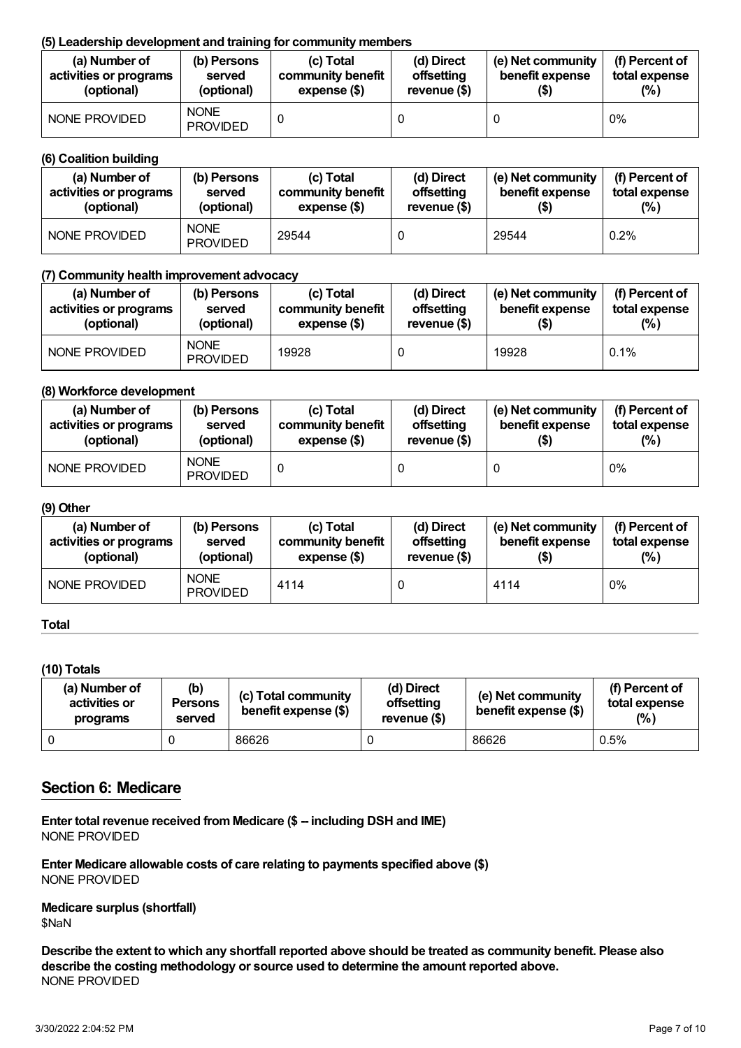#### **(5) Leadership development and training for community members**

| (a) Number of          | (b) Persons                    | (c) Total         | (d) Direct    | (e) Net community | (f) Percent of |
|------------------------|--------------------------------|-------------------|---------------|-------------------|----------------|
| activities or programs | served                         | community benefit | offsetting    | benefit expense   | total expense  |
| (optional)             | (optional)                     | expense (\$)      | revenue $($)$ | $($ \$)           | $(\%)$         |
| NONE PROVIDED          | <b>NONE</b><br><b>PROVIDED</b> |                   |               |                   | 0%             |

#### **(6) Coalition building**

| (a) Number of<br>activities or programs<br>(optional) | (c) Total<br>(b) Persons<br>community benefit<br>served<br>(optional)<br>expense (\$) |       | (d) Direct<br>offsetting<br>revenue $(\$)$ | (e) Net community<br>benefit expense<br>(\$) | (f) Percent of<br>total expense<br>$(\% )$ |
|-------------------------------------------------------|---------------------------------------------------------------------------------------|-------|--------------------------------------------|----------------------------------------------|--------------------------------------------|
| NONE PROVIDED                                         | <b>NONE</b><br><b>PROVIDED</b>                                                        | 29544 |                                            | 29544                                        | 0.2%                                       |

#### **(7) Community health improvement advocacy**

| (a) Number of          | (b) Persons                    | (c) Total         | (d) Direct    | (e) Net community | (f) Percent of |
|------------------------|--------------------------------|-------------------|---------------|-------------------|----------------|
| activities or programs | served                         | community benefit | offsetting    | benefit expense   | total expense  |
| (optional)             | (optional)                     | expense (\$)      | revenue $($)$ | (\$)              | $(\%)$         |
| NONE PROVIDED          | <b>NONE</b><br><b>PROVIDED</b> | 19928             |               | 19928             | 0.1%           |

#### **(8) Workforce development**

| (a) Number of          | (b) Persons                    | (c) Total         | (d) Direct    | (e) Net community | (f) Percent of |
|------------------------|--------------------------------|-------------------|---------------|-------------------|----------------|
| activities or programs | served                         | community benefit | offsetting    | benefit expense   | total expense  |
| (optional)             | (optional)                     | expense (\$)      | revenue $($)$ | (\$)              | (% )           |
| NONE PROVIDED          | <b>NONE</b><br><b>PROVIDED</b> |                   |               |                   | $0\%$          |

#### **(9) Other**

| (a) Number of          | (b) Persons                    | (c) Total         | (d) Direct    | (e) Net community | (f) Percent of |
|------------------------|--------------------------------|-------------------|---------------|-------------------|----------------|
| activities or programs | served                         | community benefit | offsetting    | benefit expense   | total expense  |
| (optional)             | (optional)                     | expense (\$)      | revenue $($)$ | (\$)              | $(\%)$         |
| NONE PROVIDED          | <b>NONE</b><br><b>PROVIDED</b> | 4114              |               | 4114              | 0%             |

#### **Total**

#### **(10) Totals**

| (a) Number of<br>activities or<br>programs | (b)<br><b>Persons</b><br>served | (c) Total community<br>benefit expense (\$) | (d) Direct<br>offsetting<br>revenue (\$) | (e) Net community<br>benefit expense (\$) | (f) Percent of<br>total expense<br>(% ) |
|--------------------------------------------|---------------------------------|---------------------------------------------|------------------------------------------|-------------------------------------------|-----------------------------------------|
|                                            |                                 | 86626                                       |                                          | 86626                                     | 0.5%                                    |

### <span id="page-6-0"></span>**Section 6: Medicare**

**Enter total revenue received fromMedicare (\$ -- including DSH and IME)** NONE PROVIDED

**Enter Medicare allowable costs of care relating to payments specified above (\$)** NONE PROVIDED

**Medicare surplus (shortfall)** \$NaN

Describe the extent to which any shortfall reported above should be treated as community benefit. Please also **describe the costing methodology or source used to determine the amount reported above.** NONE PROVIDED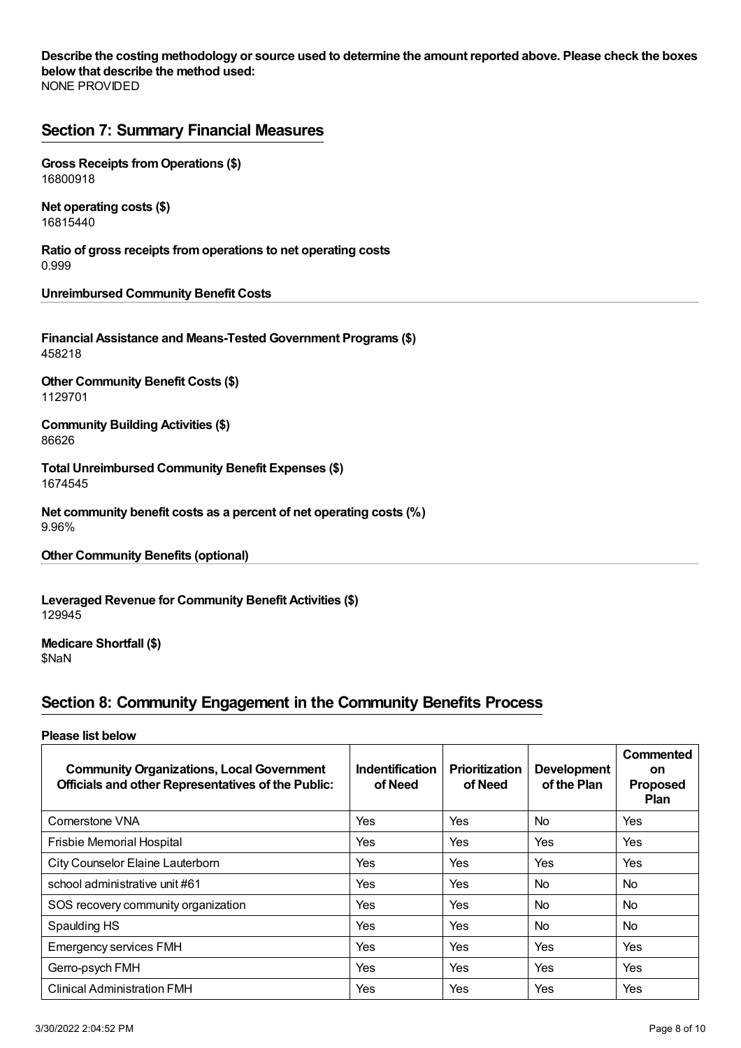NONE PROVIDED Describe the costing methodology or source used to determine the amount reported above. Please check the boxes **below that describe the method used:**

## <span id="page-7-0"></span>**Section 7: Summary Financial Measures**

**Gross Receipts fromOperations (\$)** 16800918

**Net operating costs (\$)** 16815440

**Ratio of gross receipts fromoperations to net operating costs** 0.999

**Unreimbursed Community Benefit Costs**

**Financial Assistance and Means-Tested Government Programs (\$)** 458218

**Other Community Benefit Costs (\$)** 1129701

**Community Building Activities (\$)** 86626

**Total Unreimbursed Community Benefit Expenses (\$)** 1674545

**Net community benefit costs as a percent of net operating costs (%)** 9.96%

**Other Community Benefits (optional)**

**Leveraged Revenue for Community Benefit Activities (\$)** 129945

**Medicare Shortfall (\$)** \$NaN

## <span id="page-7-1"></span>**Section 8: Community Engagement in the Community Benefits Process**

#### **Please list below**

| <b>Community Organizations, Local Government</b><br><b>Officials and other Representatives of the Public:</b> | <b>Indentification</b><br>of Need | <b>Prioritization</b><br>of Need | <b>Development</b><br>of the Plan | Commented<br><b>on</b><br><b>Proposed</b><br><b>Plan</b> |
|---------------------------------------------------------------------------------------------------------------|-----------------------------------|----------------------------------|-----------------------------------|----------------------------------------------------------|
| Cornerstone VNA                                                                                               | Yes                               | Yes                              | <b>No</b>                         | Yes                                                      |
| <b>Frisbie Memorial Hospital</b>                                                                              | Yes                               | Yes                              | Yes                               | Yes                                                      |
| City Counselor Elaine Lauterborn                                                                              | Yes                               | Yes                              | Yes                               | Yes                                                      |
| school administrative unit #61                                                                                | Yes                               | Yes                              | <b>No</b>                         | <b>No</b>                                                |
| SOS recovery community organization                                                                           | Yes                               | Yes                              | <b>No</b>                         | N <sub>o</sub>                                           |
| Spaulding HS                                                                                                  | Yes                               | Yes                              | <b>No</b>                         | N <sub>o</sub>                                           |
| <b>Emergency services FMH</b>                                                                                 | Yes                               | Yes                              | Yes                               | <b>Yes</b>                                               |
| Gerro-psych FMH                                                                                               | Yes                               | Yes                              | Yes                               | <b>Yes</b>                                               |
| <b>Clinical Administration FMH</b>                                                                            | Yes                               | Yes                              | Yes                               | Yes                                                      |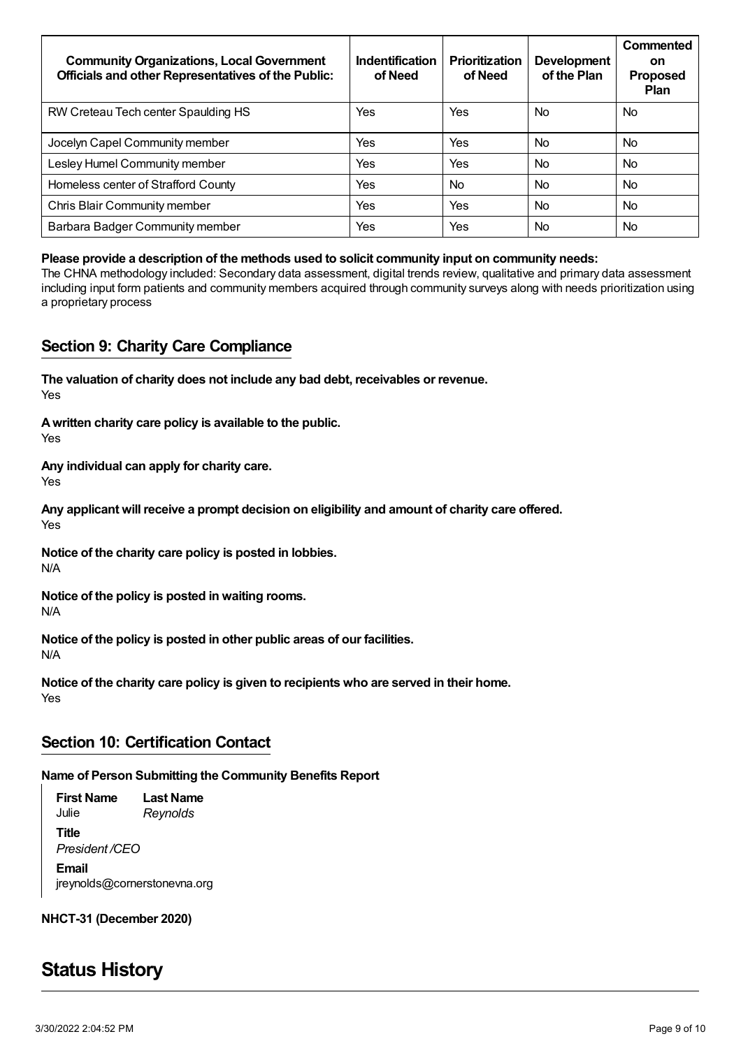| <b>Community Organizations, Local Government</b><br><b>Officials and other Representatives of the Public:</b> | Indentification<br>of Need | <b>Prioritization</b><br>of Need | <b>Development</b><br>of the Plan | Commented<br>on<br><b>Proposed</b><br><b>Plan</b> |
|---------------------------------------------------------------------------------------------------------------|----------------------------|----------------------------------|-----------------------------------|---------------------------------------------------|
| RW Creteau Tech center Spaulding HS                                                                           | Yes                        | Yes                              | <b>No</b>                         | N <sub>o</sub>                                    |
| Jocelyn Capel Community member                                                                                | Yes                        | Yes                              | <b>No</b>                         | N <sub>o</sub>                                    |
| Lesley Humel Community member                                                                                 | Yes                        | Yes                              | <b>No</b>                         | N <sub>o</sub>                                    |
| Homeless center of Strafford County                                                                           | Yes                        | <b>No</b>                        | <b>No</b>                         | N <sub>o</sub>                                    |
| Chris Blair Community member                                                                                  | Yes                        | Yes                              | <b>No</b>                         | N <sub>o</sub>                                    |
| Barbara Badger Community member                                                                               | Yes                        | Yes                              | <b>No</b>                         | <b>No</b>                                         |

#### **Please provide a description of the methods used to solicit community input on community needs:**

The CHNA methodology included: Secondary data assessment, digital trends review, qualitative and primary data assessment including input form patients and community members acquired through community surveys along with needs prioritization using a proprietary process

### <span id="page-8-0"></span>**Section 9: Charity Care Compliance**

Yes **The valuation of charity does not include any bad debt, receivables or revenue.**

Yes **Awritten charity care policy is available to the public.**

Yes **Any individual can apply for charity care.**

Yes **Any applicant will receive a prompt decision on eligibility and amount of charity care offered.**

N/A **Notice of the charity care policy is posted in lobbies.**

N/A **Notice of the policy is posted in waiting rooms.**

N/A **Notice of the policy is posted in other public areas of our facilities.**

Yes **Notice of the charity care policy is given to recipients who are served in their home.**

## <span id="page-8-1"></span>**Section 10: Certification Contact**

**Name of Person Submitting the Community Benefits Report**

**First Name** Julie **Last Name** *Reynolds* **Title** *President /CEO* **Email** jreynolds@cornerstonevna.org

**NHCT-31 (December 2020)**

## <span id="page-8-2"></span>**Status History**